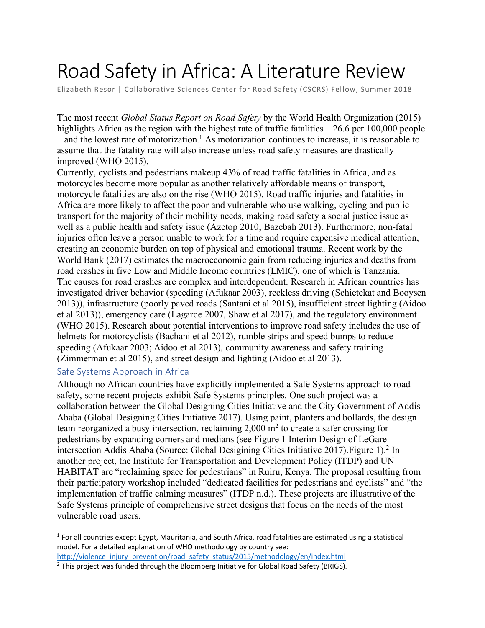# Road Safety in Africa: A Literature Review

Elizabeth Resor | Collaborative Sciences Center for Road Safety (CSCRS) Fellow, Summer 2018

The most recent *Global Status Report on Road Safety* by the World Health Organization (2015) highlights Africa as the region with the highest rate of traffic fatalities – 26.6 per 100,000 people  $-$  and the lowest rate of motorization.<sup>1</sup> As motorization continues to increase, it is reasonable to assume that the fatality rate will also increase unless road safety measures are drastically improved (WHO 2015).

Currently, cyclists and pedestrians makeup 43% of road traffic fatalities in Africa, and as motorcycles become more popular as another relatively affordable means of transport, motorcycle fatalities are also on the rise (WHO 2015). Road traffic injuries and fatalities in Africa are more likely to affect the poor and vulnerable who use walking, cycling and public transport for the majority of their mobility needs, making road safety a social justice issue as well as a public health and safety issue (Azetop 2010; Bazebah 2013). Furthermore, non-fatal injuries often leave a person unable to work for a time and require expensive medical attention, creating an economic burden on top of physical and emotional trauma. Recent work by the World Bank (2017) estimates the macroeconomic gain from reducing injuries and deaths from road crashes in five Low and Middle Income countries (LMIC), one of which is Tanzania. The causes for road crashes are complex and interdependent. Research in African countries has investigated driver behavior (speeding (Afukaar 2003), reckless driving (Schietekat and Booysen 2013)), infrastructure (poorly paved roads (Santani et al 2015), insufficient street lighting (Aidoo et al 2013)), emergency care (Lagarde 2007, Shaw et al 2017), and the regulatory environment (WHO 2015). Research about potential interventions to improve road safety includes the use of helmets for motorcyclists (Bachani et al 2012), rumble strips and speed bumps to reduce speeding (Afukaar 2003; Aidoo et al 2013), community awareness and safety training (Zimmerman et al 2015), and street design and lighting (Aidoo et al 2013).

## Safe Systems Approach in Africa

 $\overline{a}$ 

Although no African countries have explicitly implemented a Safe Systems approach to road safety, some recent projects exhibit Safe Systems principles. One such project was a collaboration between the Global Designing Cities Initiative and the City Government of Addis Ababa (Global Designing Cities Initiative 2017). Using paint, planters and bollards, the design team reorganized a busy intersection, reclaiming  $2,000$  m<sup>2</sup> to create a safer crossing for pedestrians by expanding corners and medians (see Figure 1 Interim Design of LeGare intersection Addis Ababa (Source: Global Desigining Cities Initiative 2017).Figure 1).2 In another project, the Institute for Transportation and Development Policy (ITDP) and UN HABITAT are "reclaiming space for pedestrians" in Ruiru, Kenya. The proposal resulting from their participatory workshop included "dedicated facilities for pedestrians and cyclists" and "the implementation of traffic calming measures" (ITDP n.d.). These projects are illustrative of the Safe Systems principle of comprehensive street designs that focus on the needs of the most vulnerable road users.

 $1$  For all countries except Egypt, Mauritania, and South Africa, road fatalities are estimated using a statistical model. For a detailed explanation of WHO methodology by country see: http://violence\_injury\_prevention/road\_safety\_status/2015/methodology/en/index.html

 $<sup>2</sup>$  This project was funded through the Bloomberg Initiative for Global Road Safety (BRIGS).</sup>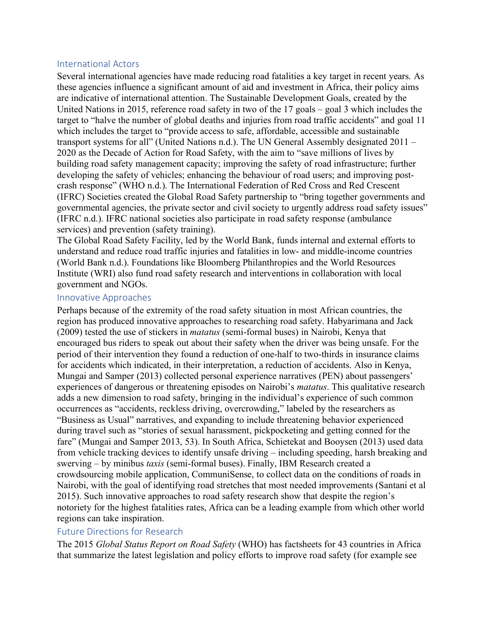## International Actors

Several international agencies have made reducing road fatalities a key target in recent years. As these agencies influence a significant amount of aid and investment in Africa, their policy aims are indicative of international attention. The Sustainable Development Goals, created by the United Nations in 2015, reference road safety in two of the 17 goals – goal 3 which includes the target to "halve the number of global deaths and injuries from road traffic accidents" and goal 11 which includes the target to "provide access to safe, affordable, accessible and sustainable transport systems for all" (United Nations n.d.). The UN General Assembly designated 2011 – 2020 as the Decade of Action for Road Safety, with the aim to "save millions of lives by building road safety management capacity; improving the safety of road infrastructure; further developing the safety of vehicles; enhancing the behaviour of road users; and improving postcrash response" (WHO n.d.). The International Federation of Red Cross and Red Crescent (IFRC) Societies created the Global Road Safety partnership to "bring together governments and governmental agencies, the private sector and civil society to urgently address road safety issues" (IFRC n.d.). IFRC national societies also participate in road safety response (ambulance services) and prevention (safety training).

The Global Road Safety Facility, led by the World Bank, funds internal and external efforts to understand and reduce road traffic injuries and fatalities in low- and middle-income countries (World Bank n.d.). Foundations like Bloomberg Philanthropies and the World Resources Institute (WRI) also fund road safety research and interventions in collaboration with local government and NGOs.

### Innovative Approaches

Perhaps because of the extremity of the road safety situation in most African countries, the region has produced innovative approaches to researching road safety. Habyarimana and Jack (2009) tested the use of stickers in *matatus* (semi-formal buses) in Nairobi, Kenya that encouraged bus riders to speak out about their safety when the driver was being unsafe. For the period of their intervention they found a reduction of one-half to two-thirds in insurance claims for accidents which indicated, in their interpretation, a reduction of accidents. Also in Kenya, Mungai and Samper (2013) collected personal experience narratives (PEN) about passengers' experiences of dangerous or threatening episodes on Nairobi's *matatus*. This qualitative research adds a new dimension to road safety, bringing in the individual's experience of such common occurrences as "accidents, reckless driving, overcrowding," labeled by the researchers as "Business as Usual" narratives, and expanding to include threatening behavior experienced during travel such as "stories of sexual harassment, pickpocketing and getting conned for the fare" (Mungai and Samper 2013, 53). In South Africa, Schietekat and Booysen (2013) used data from vehicle tracking devices to identify unsafe driving – including speeding, harsh breaking and swerving – by minibus *taxis* (semi-formal buses). Finally, IBM Research created a crowdsourcing mobile application, CommuniSense, to collect data on the conditions of roads in Nairobi, with the goal of identifying road stretches that most needed improvements (Santani et al 2015). Such innovative approaches to road safety research show that despite the region's notoriety for the highest fatalities rates, Africa can be a leading example from which other world regions can take inspiration.

## Future Directions for Research

The 2015 *Global Status Report on Road Safety* (WHO) has factsheets for 43 countries in Africa that summarize the latest legislation and policy efforts to improve road safety (for example see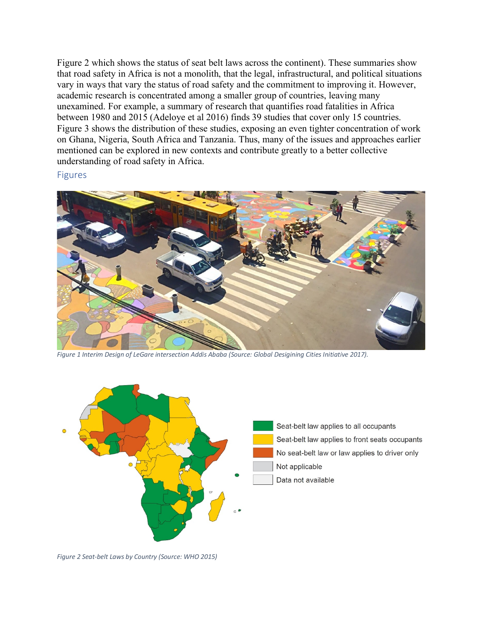Figure 2 which shows the status of seat belt laws across the continent). These summaries show that road safety in Africa is not a monolith, that the legal, infrastructural, and political situations vary in ways that vary the status of road safety and the commitment to improving it. However, academic research is concentrated among a smaller group of countries, leaving many unexamined. For example, a summary of research that quantifies road fatalities in Africa between 1980 and 2015 (Adeloye et al 2016) finds 39 studies that cover only 15 countries. Figure 3 shows the distribution of these studies, exposing an even tighter concentration of work on Ghana, Nigeria, South Africa and Tanzania. Thus, many of the issues and approaches earlier mentioned can be explored in new contexts and contribute greatly to a better collective understanding of road safety in Africa.

#### Figures



*Figure 1 Interim Design of LeGare intersection Addis Ababa (Source: Global Desigining Cities Initiative 2017).*



*Figure 2 Seat-belt Laws by Country (Source: WHO 2015)*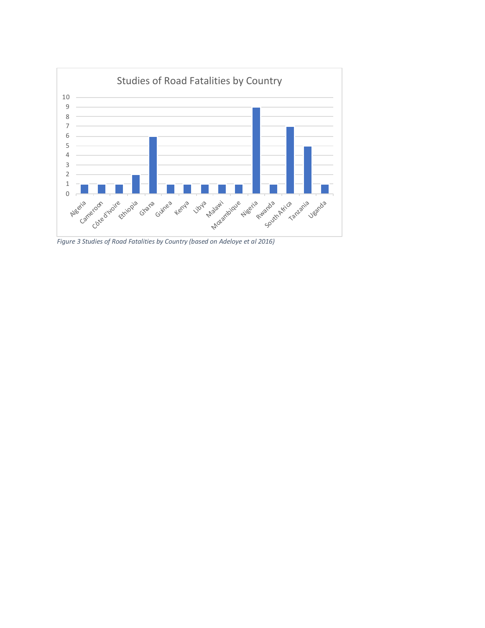

*Figure 3 Studies of Road Fatalities by Country (based on Adeloye et al 2016)*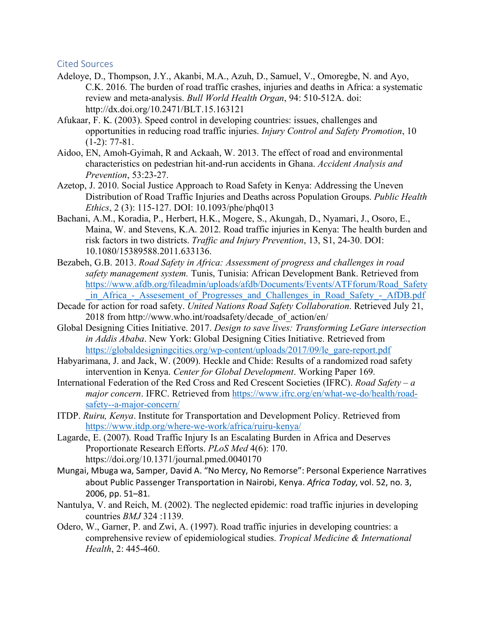### Cited Sources

- Adeloye, D., Thompson, J.Y., Akanbi, M.A., Azuh, D., Samuel, V., Omoregbe, N. and Ayo, C.K. 2016. The burden of road traffic crashes, injuries and deaths in Africa: a systematic review and meta-analysis. *Bull World Health Organ*, 94: 510-512A. doi: http://dx.doi.org/10.2471/BLT.15.163121
- Afukaar, F. K. (2003). Speed control in developing countries: issues, challenges and opportunities in reducing road traffic injuries. *Injury Control and Safety Promotion*, 10  $(1-2)$ : 77-81.
- Aidoo, EN, Amoh-Gyimah, R and Ackaah, W. 2013. The effect of road and environmental characteristics on pedestrian hit-and-run accidents in Ghana. *Accident Analysis and Prevention*, 53:23-27.
- Azetop, J. 2010. Social Justice Approach to Road Safety in Kenya: Addressing the Uneven Distribution of Road Traffic Injuries and Deaths across Population Groups. *Public Health Ethics*, 2 (3): 115-127. DOI: 10.1093/phe/phq013
- Bachani, A.M., Koradia, P., Herbert, H.K., Mogere, S., Akungah, D., Nyamari, J., Osoro, E., Maina, W. and Stevens, K.A. 2012. Road traffic injuries in Kenya: The health burden and risk factors in two districts. *Traffic and Injury Prevention*, 13, S1, 24-30. DOI: 10.1080/15389588.2011.633136.
- Bezabeh, G.B. 2013. *Road Safety in Africa: Assessment of progress and challenges in road safety management system.* Tunis, Tunisia: African Development Bank. Retrieved from https://www.afdb.org/fileadmin/uploads/afdb/Documents/Events/ATFforum/Road\_Safety in Africa - Assesement of Progresses and Challenges in Road Safety - AfDB.pdf
- Decade for action for road safety. *United Nations Road Safety Collaboration*. Retrieved July 21, 2018 from http://www.who.int/roadsafety/decade\_of\_action/en/
- Global Designing Cities Initiative. 2017. *Design to save lives: Transforming LeGare intersection in Addis Ababa*. New York: Global Designing Cities Initiative. Retrieved from https://globaldesigningcities.org/wp-content/uploads/2017/09/le\_gare-report.pdf
- Habyarimana, J. and Jack, W. (2009). Heckle and Chide: Results of a randomized road safety intervention in Kenya. *Center for Global Development*. Working Paper 169.
- International Federation of the Red Cross and Red Crescent Societies (IFRC). *Road Safety – a major concern*. IFRC. Retrieved from https://www.ifrc.org/en/what-we-do/health/roadsafety--a-major-concern/
- ITDP. *Ruiru, Kenya*. Institute for Transportation and Development Policy. Retrieved from https://www.itdp.org/where-we-work/africa/ruiru-kenya/
- Lagarde, E. (2007). Road Traffic Injury Is an Escalating Burden in Africa and Deserves Proportionate Research Efforts. *PLoS Med* 4(6): 170. https://doi.org/10.1371/journal.pmed.0040170
- Mungai, Mbuga wa, Samper, David A. "No Mercy, No Remorse": Personal Experience Narratives about Public Passenger Transportation in Nairobi, Kenya. *Africa Today*, vol. 52, no. 3, 2006, pp. 51–81.
- Nantulya, V. and Reich, M. (2002). The neglected epidemic: road traffic injuries in developing countries *BMJ* 324 :1139.
- Odero, W., Garner, P. and Zwi, A. (1997). Road traffic injuries in developing countries: a comprehensive review of epidemiological studies. *Tropical Medicine & International Health*, 2: 445-460.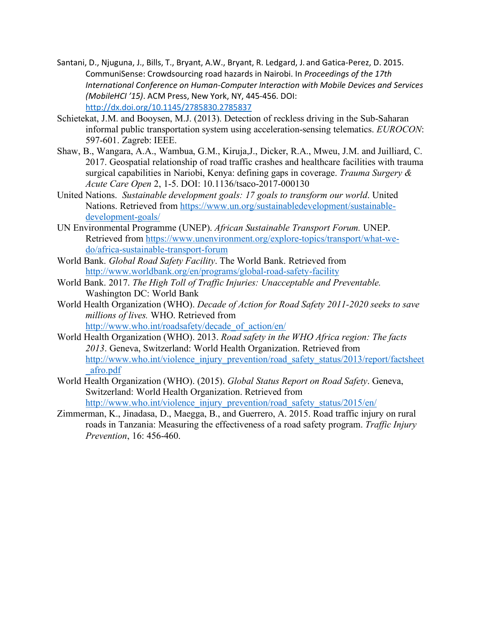- Santani, D., Njuguna, J., Bills, T., Bryant, A.W., Bryant, R. Ledgard, J. and Gatica-Perez, D. 2015. CommuniSense: Crowdsourcing road hazards in Nairobi. In *Proceedings of the 17th International Conference on Human-Computer Interaction with Mobile Devices and Services (MobileHCI '15)*. ACM Press, New York, NY, 445-456. DOI: http://dx.doi.org/10.1145/2785830.2785837
- Schietekat, J.M. and Booysen, M.J. (2013). Detection of reckless driving in the Sub-Saharan informal public transportation system using acceleration-sensing telematics. *EUROCON*: 597-601. Zagreb: IEEE.
- Shaw, B., Wangara, A.A., Wambua, G.M., Kiruja,J., Dicker, R.A., Mweu, J.M. and Juilliard, C. 2017. Geospatial relationship of road traffic crashes and healthcare facilities with trauma surgical capabilities in Nariobi, Kenya: defining gaps in coverage. *Trauma Surgery & Acute Care Open* 2, 1-5. DOI: 10.1136/tsaco-2017-000130
- United Nations. *Sustainable development goals: 17 goals to transform our world*. United Nations. Retrieved from https://www.un.org/sustainabledevelopment/sustainabledevelopment-goals/
- UN Environmental Programme (UNEP). *African Sustainable Transport Forum.* UNEP. Retrieved from https://www.unenvironment.org/explore-topics/transport/what-wedo/africa-sustainable-transport-forum
- World Bank. *Global Road Safety Facility*. The World Bank. Retrieved from http://www.worldbank.org/en/programs/global-road-safety-facility
- World Bank. 2017. *The High Toll of Traffic Injuries: Unacceptable and Preventable.* Washington DC: World Bank
- World Health Organization (WHO). *Decade of Action for Road Safety 2011-2020 seeks to save millions of lives.* WHO. Retrieved from http://www.who.int/roadsafety/decade\_of\_action/en/
- World Health Organization (WHO). 2013. *Road safety in the WHO Africa region: The facts 2013*. Geneva, Switzerland: World Health Organization. Retrieved from http://www.who.int/violence\_injury\_prevention/road\_safety\_status/2013/report/factsheet \_afro.pdf
- World Health Organization (WHO). (2015). *Global Status Report on Road Safety*. Geneva, Switzerland: World Health Organization. Retrieved from http://www.who.int/violence\_injury\_prevention/road\_safety\_status/2015/en/
- Zimmerman, K., Jinadasa, D., Maegga, B., and Guerrero, A. 2015. Road traffic injury on rural roads in Tanzania: Measuring the effectiveness of a road safety program. *Traffic Injury Prevention*, 16: 456-460.